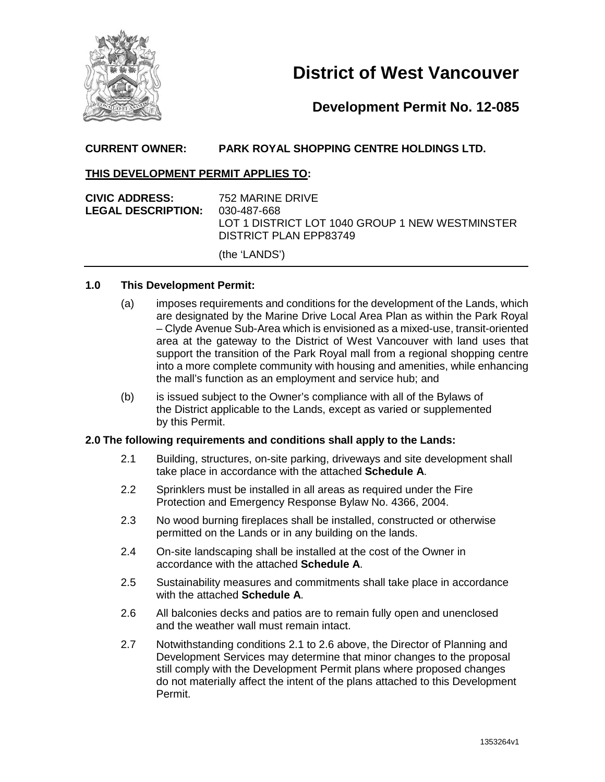

# **District of West Vancouver**

# **Development Permit No. 12-085**

# **CURRENT OWNER: PARK ROYAL SHOPPING CENTRE HOLDINGS LTD.**

### **THIS DEVELOPMENT PERMIT APPLIES TO:**

| <b>CIVIC ADDRESS:</b>     | 752 MARINE DRIVE                                |
|---------------------------|-------------------------------------------------|
| <b>LEGAL DESCRIPTION:</b> | 030-487-668                                     |
|                           | LOT 1 DISTRICT LOT 1040 GROUP 1 NEW WESTMINSTER |
|                           | DISTRICT PLAN EPP83749                          |
|                           | (the 'LANDS')                                   |

#### **1.0 This Development Permit:**

- (a) imposes requirements and conditions for the development of the Lands, which are designated by the Marine Drive Local Area Plan as within the Park Royal – Clyde Avenue Sub-Area which is envisioned as a mixed-use, transit-oriented area at the gateway to the District of West Vancouver with land uses that support the transition of the Park Royal mall from a regional shopping centre into a more complete community with housing and amenities, while enhancing the mall's function as an employment and service hub; and
- (b) is issued subject to the Owner's compliance with all of the Bylaws of the District applicable to the Lands, except as varied or supplemented by this Permit.

#### **2.0 The following requirements and conditions shall apply to the Lands:**

- 2.1 Building, structures, on-site parking, driveways and site development shall take place in accordance with the attached **Schedule A**.
- 2.2 Sprinklers must be installed in all areas as required under the Fire Protection and Emergency Response Bylaw No. 4366, 2004.
- 2.3 No wood burning fireplaces shall be installed, constructed or otherwise permitted on the Lands or in any building on the lands.
- 2.4 On-site landscaping shall be installed at the cost of the Owner in accordance with the attached **Schedule A**.
- 2.5 Sustainability measures and commitments shall take place in accordance with the attached **Schedule A**.
- 2.6 All balconies decks and patios are to remain fully open and unenclosed and the weather wall must remain intact.
- 2.7 Notwithstanding conditions 2.1 to 2.6 above, the Director of Planning and Development Services may determine that minor changes to the proposal still comply with the Development Permit plans where proposed changes do not materially affect the intent of the plans attached to this Development Permit.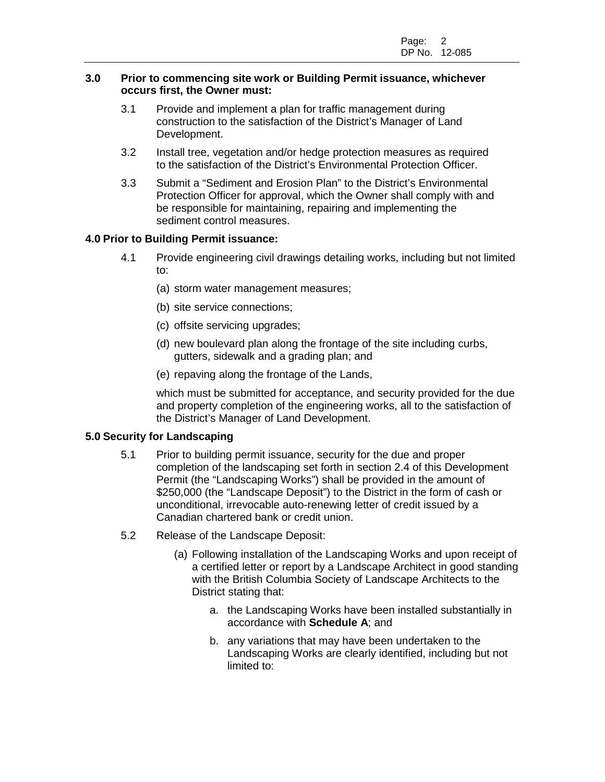#### **3.0 Prior to commencing site work or Building Permit issuance, whichever occurs first, the Owner must:**

- 3.1 Provide and implement a plan for traffic management during construction to the satisfaction of the District's Manager of Land Development.
- 3.2 Install tree, vegetation and/or hedge protection measures as required to the satisfaction of the District's Environmental Protection Officer.
- 3.3 Submit a "Sediment and Erosion Plan" to the District's Environmental Protection Officer for approval, which the Owner shall comply with and be responsible for maintaining, repairing and implementing the sediment control measures.

# **4.0 Prior to Building Permit issuance:**

- 4.1 Provide engineering civil drawings detailing works, including but not limited to:
	- (a) storm water management measures;
	- (b) site service connections;
	- (c) offsite servicing upgrades;
	- (d) new boulevard plan along the frontage of the site including curbs, gutters, sidewalk and a grading plan; and
	- (e) repaving along the frontage of the Lands,

which must be submitted for acceptance, and security provided for the due and property completion of the engineering works, all to the satisfaction of the District's Manager of Land Development.

#### **5.0 Security for Landscaping**

- 5.1 Prior to building permit issuance, security for the due and proper completion of the landscaping set forth in section 2.4 of this Development Permit (the "Landscaping Works") shall be provided in the amount of \$250,000 (the "Landscape Deposit") to the District in the form of cash or unconditional, irrevocable auto-renewing letter of credit issued by a Canadian chartered bank or credit union.
- 5.2 Release of the Landscape Deposit:
	- (a) Following installation of the Landscaping Works and upon receipt of a certified letter or report by a Landscape Architect in good standing with the British Columbia Society of Landscape Architects to the District stating that:
		- a. the Landscaping Works have been installed substantially in accordance with **Schedule A**; and
		- b. any variations that may have been undertaken to the Landscaping Works are clearly identified, including but not limited to: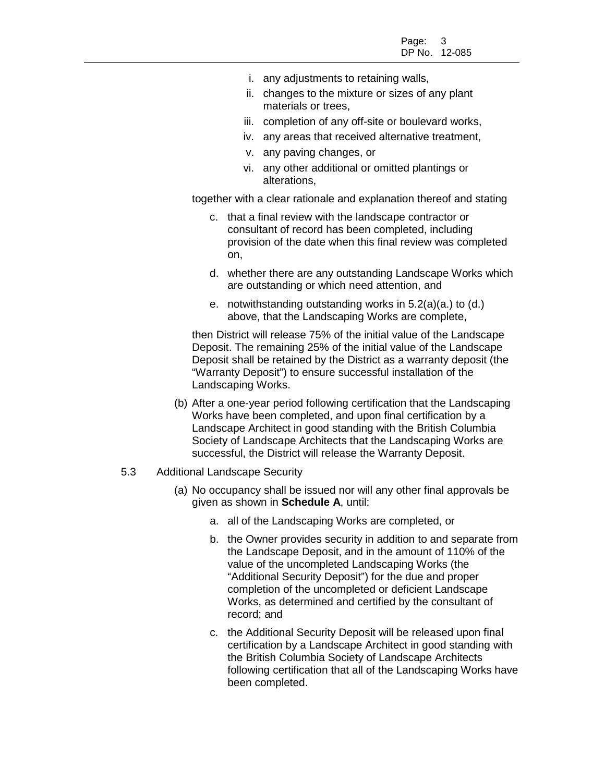- i. any adjustments to retaining walls,
- ii. changes to the mixture or sizes of any plant materials or trees,
- iii. completion of any off-site or boulevard works,
- iv. any areas that received alternative treatment,
- v. any paving changes, or
- vi. any other additional or omitted plantings or alterations,

together with a clear rationale and explanation thereof and stating

- c. that a final review with the landscape contractor or consultant of record has been completed, including provision of the date when this final review was completed on,
- d. whether there are any outstanding Landscape Works which are outstanding or which need attention, and
- e. notwithstanding outstanding works in 5.2(a)(a.) to (d.) above, that the Landscaping Works are complete,

then District will release 75% of the initial value of the Landscape Deposit. The remaining 25% of the initial value of the Landscape Deposit shall be retained by the District as a warranty deposit (the "Warranty Deposit") to ensure successful installation of the Landscaping Works.

- (b) After a one-year period following certification that the Landscaping Works have been completed, and upon final certification by a Landscape Architect in good standing with the British Columbia Society of Landscape Architects that the Landscaping Works are successful, the District will release the Warranty Deposit.
- 5.3 Additional Landscape Security
	- (a) No occupancy shall be issued nor will any other final approvals be given as shown in **Schedule A**, until:
		- a. all of the Landscaping Works are completed, or
		- b. the Owner provides security in addition to and separate from the Landscape Deposit, and in the amount of 110% of the value of the uncompleted Landscaping Works (the "Additional Security Deposit") for the due and proper completion of the uncompleted or deficient Landscape Works, as determined and certified by the consultant of record; and
		- c. the Additional Security Deposit will be released upon final certification by a Landscape Architect in good standing with the British Columbia Society of Landscape Architects following certification that all of the Landscaping Works have been completed.